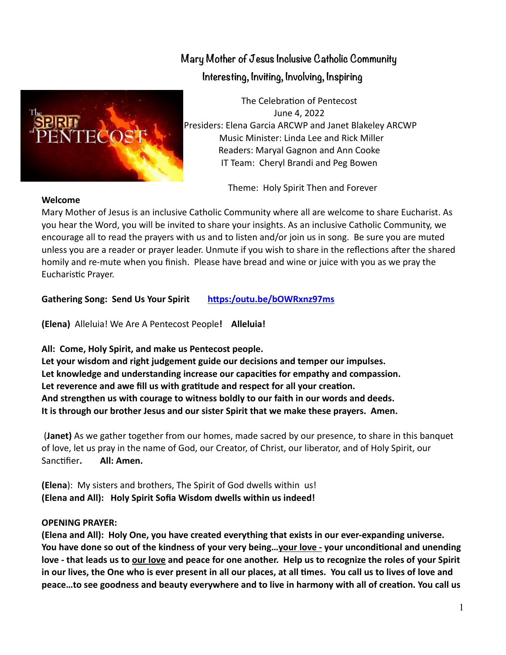

 **Mary Mother of Jesus Inclusive Catholic Community Interesting, Inviting, Involving, Inspiring**

The Celebration of Pentecost June 4, 2022 Presiders: Elena Garcia ARCWP and Janet Blakeley ARCWP Music Minister: Linda Lee and Rick Miller Readers: Maryal Gagnon and Ann Cooke IT Team: Cheryl Brandi and Peg Bowen

Theme: Holy Spirit Then and Forever

## **Welcome**

Mary Mother of Jesus is an inclusive Catholic Community where all are welcome to share Eucharist. As you hear the Word, you will be invited to share your insights. As an inclusive Catholic Community, we encourage all to read the prayers with us and to listen and/or join us in song. Be sure you are muted unless you are a reader or prayer leader. Unmute if you wish to share in the reflections after the shared homily and re-mute when you finish. Please have bread and wine or juice with you as we pray the Eucharistic Prayer.

**Gathering Song: Send Us Your Spirit [https:/outu.be/bOWRxnz97ms](https://youtu.be/bOWRxnz97ms)**

**(Elena)**Alleluia! We Are A Pentecost People**! Alleluia!**

**All: Come, Holy Spirit, and make us Pentecost people.**

**Let your wisdom and right judgement guide our decisions and temper our impulses. Let knowledge and understanding increase our capacities for empathy and compassion. Let reverence and awe fill us with gratitude and respect for all your creation. And strengthen us with courage to witness boldly to our faith in our words and deeds. It is through our brother Jesus and our sister Spirit that we make these prayers. Amen.**

 (**Janet)** As we gather together from our homes, made sacred by our presence, to share in this banquet of love, let us pray in the name of God, our Creator, of Christ, our liberator, and of Holy Spirit, our Sanctifier**. All: Amen.**

**(Elena**): My sisters and brothers, The Spirit of God dwells within us! **(Elena and All): Holy Spirit Sofia Wisdom dwells within us indeed!**

## **OPENING PRAYER:**

**(Elena and All): Holy One, you have created everything that exists in our ever-expanding universe. You have done so out of the kindness of your very being…your love - your unconditional and unending love - that leads us to our love and peace for one another. Help us to recognize the roles of your Spirit in our lives, the One who is ever present in all our places, at all times. You call us to lives of love and peace…to see goodness and beauty everywhere and to live in harmony with all of creation. You call us**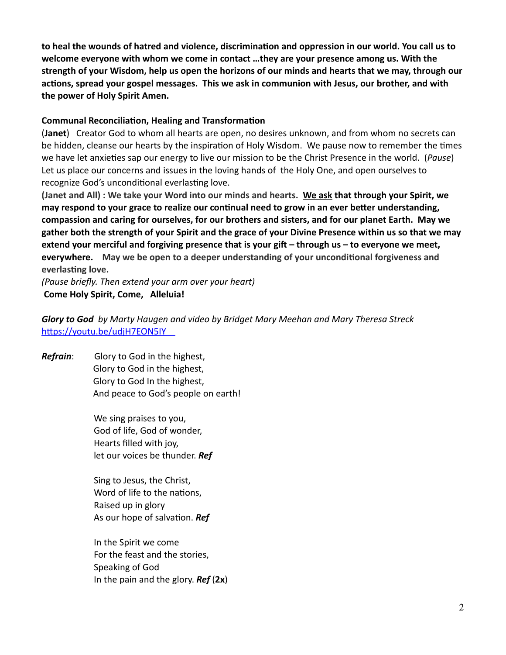**to heal the wounds of hatred and violence, discrimination and oppression in our world. You call us to welcome everyone with whom we come in contact …they are your presence among us. With the strength of your Wisdom, help us open the horizons of our minds and hearts that we may, through our actions, spread your gospel messages. This we ask in communion with Jesus, our brother, and with the power of Holy Spirit Amen.**

## **Communal Reconciliation, Healing and Transformation**

(**Janet**) Creator God to whom all hearts are open, no desires unknown, and from whom no secrets can be hidden, cleanse our hearts by the inspiration of Holy Wisdom. We pause now to remember the times we have let anxieties sap our energy to live our mission to be the Christ Presence in the world. (*Pause*) Let us place our concerns and issues in the loving hands of the Holy One, and open ourselves to recognize God's unconditional everlasting love.

**(Janet and All) : We take your Word into our minds and hearts. We ask that through your Spirit, we may respond to your grace to realize our continual need to grow in an ever better understanding, compassion and caring for ourselves, for our brothers and sisters, and for our planet Earth. May we gather both the strength of your Spirit and the grace of your Divine Presence within us so that we may extend your merciful and forgiving presence that is your gift – through us – to everyone we meet, everywhere. May we be open to a deeper understanding of your unconditional forgiveness and everlasting love.**

*(Pause briefly. Then extend your arm over your heart)*  **Come Holy Spirit, Come, Alleluia!**

*Glory to God by Marty Haugen and video by Bridget Mary Meehan and Mary Theresa Streck* <https://youtu.be/udjH7EON5IY>

*Refrain*: Glory to God in the highest, Glory to God in the highest, Glory to God In the highest, And peace to God's people on earth!

> We sing praises to you, God of life, God of wonder, Hearts filled with joy, let our voices be thunder. *Ref*

 Sing to Jesus, the Christ, Word of life to the nations, Raised up in glory As our hope of salvation. *Ref*

 In the Spirit we come For the feast and the stories, Speaking of God In the pain and the glory. *Ref* (**2x**)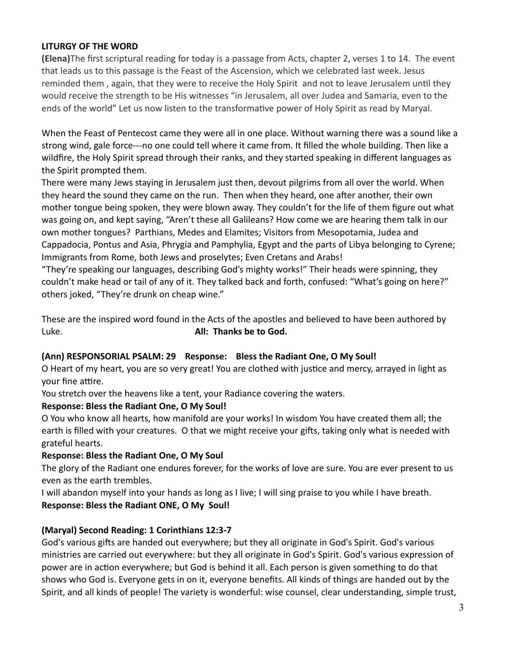## **LITURGY OF THE WORD**

**(Elena)**The first scriptural reading for today is a passage from Acts, chapter 2, verses 1 to 14. The event that leads us to this passage is the Feast of the Ascension, which we celebrated last week. Jesus reminded them , again, that they were to receive the Holy Spirit and not to leave Jerusalem until they would receive the strength to be His witnesses "in Jerusalem, all over Judea and Samaria, even to the ends of the world" Let us now listen to the transformative power of Holy Spirit as read by Maryal.

When the Feast of Pentecost came they were all in one place. Without warning there was a sound like a strong wind, gale force---no one could tell where it came from. It filled the whole building. Then like a wildfire, the Holy Spirit spread through their ranks, and they started speaking in different languages as the Spirit prompted them.

There were many Jews staying in Jerusalem just then, devout pilgrims from all over the world. When they heard the sound they came on the run. Then when they heard, one after another, their own mother tongue being spoken, they were blown away. They couldn't for the life of them figure out what was going on, and kept saying, "Aren't these all Galileans? How come we are hearing them talk in our own mother tongues? Parthians, Medes and Elamites; Visitors from Mesopotamia, Judea and Cappadocia, Pontus and Asia, Phrygia and Pamphylia, Egypt and the parts of Libya belonging to Cyrene; Immigrants from Rome, both Jews and proselytes; Even Cretans and Arabs!

"They're speaking our languages, describing God's mighty works!" Their heads were spinning, they couldn't make head or tail of any of it. They talked back and forth, confused: "What's going on here?" others joked, "They're drunk on cheap wine."

These are the inspired word found in the Acts of the apostles and believed to have been authored by Luke. **All: Thanks be to God.**

## **(Ann) RESPONSORIAL PSALM: 29 Response: Bless the Radiant One, O My Soul!**

O Heart of my heart, you are so very great! You are clothed with justice and mercy, arrayed in light as your fine attire.

You stretch over the heavens like a tent, your Radiance covering the waters.

# **Response: Bless the Radiant One, O My Soul!**

O You who know all hearts, how manifold are your works! In wisdom You have created them all; the earth is filled with your creatures. O that we might receive your gifts, taking only what is needed with grateful hearts.

## **Response: Bless the Radiant One, O My Soul**

The glory of the Radiant one endures forever, for the works of love are sure. You are ever present to us even as the earth trembles.

I will abandon myself into your hands as long as I live; I will sing praise to you while I have breath. **Response: Bless the Radiant ONE, O My Soul!**

# **(Maryal) Second Reading: 1 Corinthians 12:3-7**

God's various gifts are handed out everywhere; but they all originate in God's Spirit. God's various ministries are carried out everywhere: but they all originate in God's Spirit. God's various expression of power are in action everywhere; but God is behind it all. Each person is given something to do that shows who God is. Everyone gets in on it, everyone benefits. All kinds of things are handed out by the Spirit, and all kinds of people! The variety is wonderful: wise counsel, clear understanding, simple trust,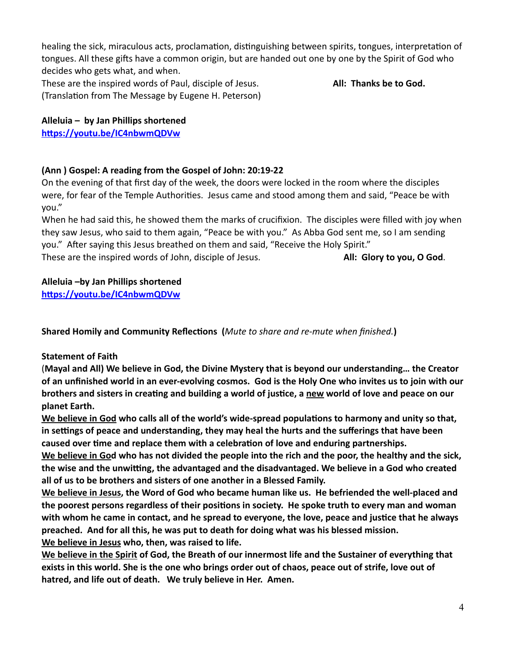healing the sick, miraculous acts, proclamation, distinguishing between spirits, tongues, interpretation of tongues. All these gifts have a common origin, but are handed out one by one by the Spirit of God who decides who gets what, and when.

These are the inspired words of Paul, disciple of Jesus. **All: Thanks be to God.** (Translation from The Message by Eugene H. Peterson)

**Alleluia – by Jan Phillips shortened <https://youtu.be/IC4nbwmQDVw>**

# **(Ann ) Gospel: A reading from the Gospel of John: 20:19-22**

On the evening of that first day of the week, the doors were locked in the room where the disciples were, for fear of the Temple Authorities. Jesus came and stood among them and said, "Peace be with you."

When he had said this, he showed them the marks of crucifixion. The disciples were filled with joy when they saw Jesus, who said to them again, "Peace be with you." As Abba God sent me, so I am sending you." After saying this Jesus breathed on them and said, "Receive the Holy Spirit." These are the inspired words of John, disciple of Jesus. **All: Glory to you, O God**.

# **Alleluia –by Jan Phillips shortened**

**<https://youtu.be/IC4nbwmQDVw>**

**Shared Homily and Community Reflections (***Mute to share and re-mute when finished.***)**

# **Statement of Faith**

(**Mayal and All) We believe in God, the Divine Mystery that is beyond our understanding… the Creator of an unfinished world in an ever-evolving cosmos. God is the Holy One who invites us to join with our brothers and sisters in creating and building a world of justice, a new world of love and peace on our planet Earth.**

**We believe in God who calls all of the world's wide-spread populations to harmony and unity so that, in settings of peace and understanding, they may heal the hurts and the sufferings that have been caused over time and replace them with a celebration of love and enduring partnerships.**

**We believe in God who has not divided the people into the rich and the poor, the healthy and the sick, the wise and the unwitting, the advantaged and the disadvantaged. We believe in a God who created all of us to be brothers and sisters of one another in a Blessed Family.**

**We believe in Jesus, the Word of God who became human like us. He befriended the well-placed and the poorest persons regardless of their positions in society. He spoke truth to every man and woman with whom he came in contact, and he spread to everyone, the love, peace and justice that he always preached. And for all this, he was put to death for doing what was his blessed mission. We believe in Jesus who, then, was raised to life.** 

**We believe in the Spirit of God, the Breath of our innermost life and the Sustainer of everything that exists in this world. She is the one who brings order out of chaos, peace out of strife, love out of hatred, and life out of death. We truly believe in Her. Amen.**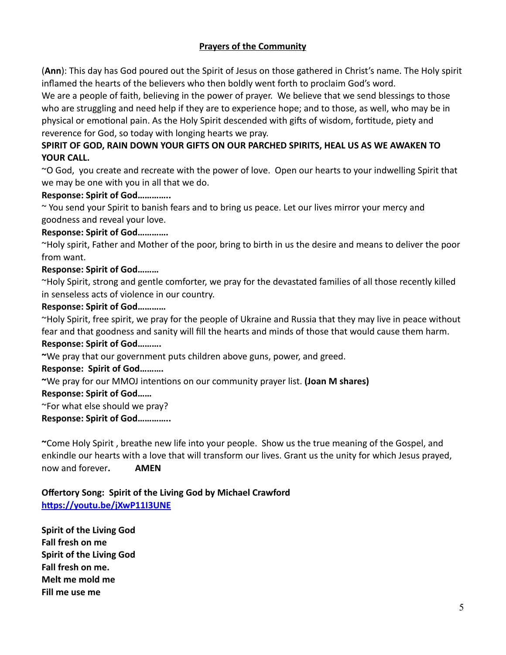# **Prayers of the Community**

(**Ann**): This day has God poured out the Spirit of Jesus on those gathered in Christ's name. The Holy spirit inflamed the hearts of the believers who then boldly went forth to proclaim God's word.

We are a people of faith, believing in the power of prayer. We believe that we send blessings to those who are struggling and need help if they are to experience hope; and to those, as well, who may be in physical or emotional pain. As the Holy Spirit descended with gifts of wisdom, fortitude, piety and reverence for God, so today with longing hearts we pray.

# **SPIRIT OF GOD, RAIN DOWN YOUR GIFTS ON OUR PARCHED SPIRITS, HEAL US AS WE AWAKEN TO YOUR CALL.**

~O God, you create and recreate with the power of love. Open our hearts to your indwelling Spirit that we may be one with you in all that we do.

## **Response: Spirit of God…………..**

~ You send your Spirit to banish fears and to bring us peace. Let our lives mirror your mercy and goodness and reveal your love.

#### **Response: Spirit of God………….**

~Holy spirit, Father and Mother of the poor, bring to birth in us the desire and means to deliver the poor from want.

## **Response: Spirit of God………**

~Holy Spirit, strong and gentle comforter, we pray for the devastated families of all those recently killed in senseless acts of violence in our country.

#### **Response: Spirit of God…………**

~Holy Spirit, free spirit, we pray for the people of Ukraine and Russia that they may live in peace without fear and that goodness and sanity will fill the hearts and minds of those that would cause them harm. **Response: Spirit of God……….**

**~**We pray that our government puts children above guns, power, and greed.

## **Response: Spirit of God……….**

## **~**We pray for our MMOJ intentions on our community prayer list. **(Joan M shares)**

#### **Response: Spirit of God……**

~For what else should we pray?

**Response: Spirit of God…………..**

**~**Come Holy Spirit , breathe new life into your people. Show us the true meaning of the Gospel, and enkindle our hearts with a love that will transform our lives. Grant us the unity for which Jesus prayed, now and forever**. AMEN**

## **Offertory Song: Spirit of the Living God by Michael Crawford <https://youtu.be/jXwP11I3UNE>**

**Spirit of the Living God Fall fresh on me Spirit of the Living God Fall fresh on me. Melt me mold me Fill me use me**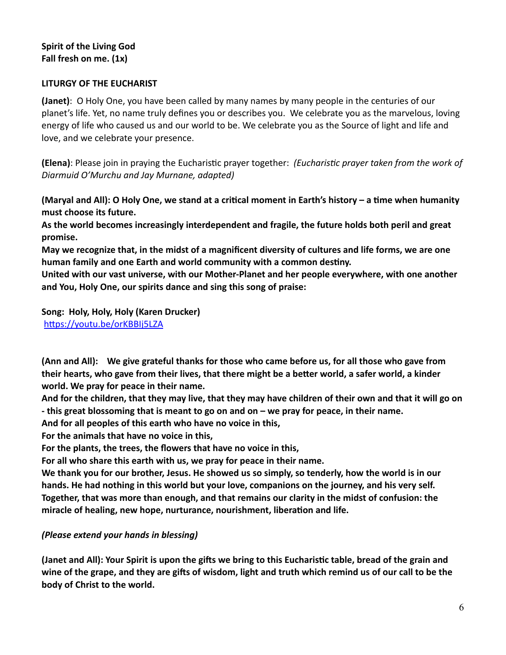## **Spirit of the Living God Fall fresh on me. (1x)**

## **LITURGY OF THE EUCHARIST**

**(Janet)**: O Holy One, you have been called by many names by many people in the centuries of our planet's life. Yet, no name truly defines you or describes you. We celebrate you as the marvelous, loving energy of life who caused us and our world to be. We celebrate you as the Source of light and life and love, and we celebrate your presence.

**(Elena)**: Please join in praying the Eucharistic prayer together: *(Eucharistic prayer taken from the work of Diarmuid O'Murchu and Jay Murnane, adapted)*

**(Maryal and All): O Holy One, we stand at a critical moment in Earth's history – a time when humanity must choose its future.** 

**As the world becomes increasingly interdependent and fragile, the future holds both peril and great promise.**

**May we recognize that, in the midst of a magnificent diversity of cultures and life forms, we are one human family and one Earth and world community with a common destiny.** 

**United with our vast universe, with our Mother-Planet and her people everywhere, with one another and You, Holy One, our spirits dance and sing this song of praise:** 

**Song: Holy, Holy, Holy (Karen Drucker)**  <https://youtu.be/orKBBIj5LZA>

**(Ann and All): We give grateful thanks for those who came before us, for all those who gave from their hearts, who gave from their lives, that there might be a better world, a safer world, a kinder world. We pray for peace in their name.** 

**And for the children, that they may live, that they may have children of their own and that it will go on - this great blossoming that is meant to go on and on – we pray for peace, in their name.** 

**And for all peoples of this earth who have no voice in this,**

**For the animals that have no voice in this,**

**For the plants, the trees, the flowers that have no voice in this,**

**For all who share this earth with us, we pray for peace in their name.**

**We thank you for our brother, Jesus. He showed us so simply, so tenderly, how the world is in our hands. He had nothing in this world but your love, companions on the journey, and his very self. Together, that was more than enough, and that remains our clarity in the midst of confusion: the miracle of healing, new hope, nurturance, nourishment, liberation and life.**

# *(Please extend your hands in blessing)*

**(Janet and All): Your Spirit is upon the gifts we bring to this Eucharistic table, bread of the grain and wine of the grape, and they are gifts of wisdom, light and truth which remind us of our call to be the body of Christ to the world.**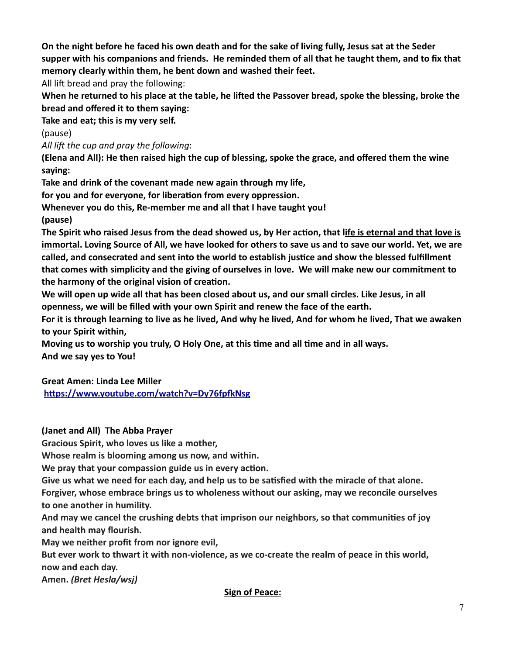**On the night before he faced his own death and for the sake of living fully, Jesus sat at the Seder supper with his companions and friends. He reminded them of all that he taught them, and to fix that memory clearly within them, he bent down and washed their feet.**

All lift bread and pray the following:

**When he returned to his place at the table, he lifted the Passover bread, spoke the blessing, broke the bread and offered it to them saying:**

**Take and eat; this is my very self.**

(pause)

*All lift the cup and pray the following*:

**(Elena and All): He then raised high the cup of blessing, spoke the grace, and offered them the wine saying:** 

**Take and drink of the covenant made new again through my life,**

**for you and for everyone, for liberation from every oppression.**

**Whenever you do this, Re-member me and all that I have taught you!**

**(pause)**

**The Spirit who raised Jesus from the dead showed us, by Her action, that life is eternal and that love is immortal. Loving Source of All, we have looked for others to save us and to save our world. Yet, we are called, and consecrated and sent into the world to establish justice and show the blessed fulfillment that comes with simplicity and the giving of ourselves in love. We will make new our commitment to the harmony of the original vision of creation.** 

**We will open up wide all that has been closed about us, and our small circles. Like Jesus, in all openness, we will be filled with your own Spirit and renew the face of the earth.**

**For it is through learning to live as he lived, And why he lived, And for whom he lived, That we awaken to your Spirit within,**

**Moving us to worship you truly, O Holy One, at this time and all time and in all ways. And we say yes to You!**

**Great Amen: Linda Lee Miller** 

**<https://www.youtube.com/watch?v=Dy76fpfkNsg>**

**(Janet and All) The Abba Prayer** 

**Gracious Spirit, who loves us like a mother,**

**Whose realm is blooming among us now, and within.**

**We pray that your compassion guide us in every action.**

**Give us what we need for each day, and help us to be satisfied with the miracle of that alone.**

**Forgiver, whose embrace brings us to wholeness without our asking, may we reconcile ourselves to one another in humility.**

**And may we cancel the crushing debts that imprison our neighbors, so that communities of joy and health may flourish.**

**May we neither profit from nor ignore evil,**

**But ever work to thwart it with non-violence, as we co-create the realm of peace in this world, now and each day.**

**Amen.** *(Bret Hesla/wsj)*

**Sign of Peace:**